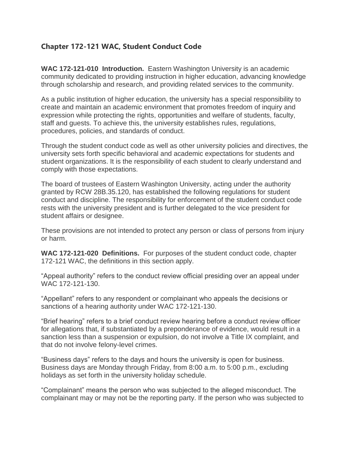# **Chapter 172-121 WAC, Student Conduct Code**

**WAC 172-121-010 Introduction.** Eastern Washington University is an academic community dedicated to providing instruction in higher education, advancing knowledge through scholarship and research, and providing related services to the community.

As a public institution of higher education, the university has a special responsibility to create and maintain an academic environment that promotes freedom of inquiry and expression while protecting the rights, opportunities and welfare of students, faculty, staff and guests. To achieve this, the university establishes rules, regulations, procedures, policies, and standards of conduct.

Through the student conduct code as well as other university policies and directives, the university sets forth specific behavioral and academic expectations for students and student organizations. It is the responsibility of each student to clearly understand and comply with those expectations.

The board of trustees of Eastern Washington University, acting under the authority granted by RCW 28B.35.120, has established the following regulations for student conduct and discipline. The responsibility for enforcement of the student conduct code rests with the university president and is further delegated to the vice president for student affairs or designee.

These provisions are not intended to protect any person or class of persons from injury or harm.

**WAC 172-121-020 Definitions.** For purposes of the student conduct code, chapter 172-121 WAC, the definitions in this section apply.

"Appeal authority" refers to the conduct review official presiding over an appeal under WAC 172-121-130.

"Appellant" refers to any respondent or complainant who appeals the decisions or sanctions of a hearing authority under WAC 172-121-130.

"Brief hearing" refers to a brief conduct review hearing before a conduct review officer for allegations that, if substantiated by a preponderance of evidence, would result in a sanction less than a suspension or expulsion, do not involve a Title IX complaint, and that do not involve felony-level crimes.

"Business days" refers to the days and hours the university is open for business. Business days are Monday through Friday, from 8:00 a.m. to 5:00 p.m., excluding holidays as set forth in the university holiday schedule.

"Complainant" means the person who was subjected to the alleged misconduct. The complainant may or may not be the reporting party. If the person who was subjected to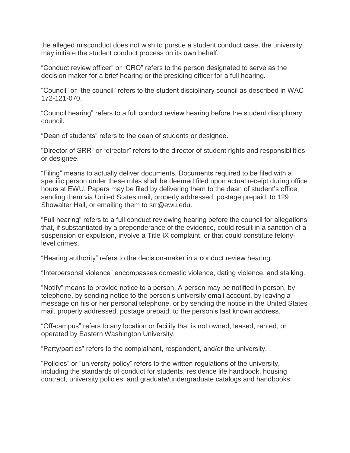the alleged misconduct does not wish to pursue a student conduct case, the university may initiate the student conduct process on its own behalf.

"Conduct review officer" or "CRO" refers to the person designated to serve as the decision maker for a brief hearing or the presiding officer for a full hearing.

"Council" or "the council" refers to the student disciplinary council as described in WAC 172-121-070.

"Council hearing" refers to a full conduct review hearing before the student disciplinary council.

"Dean of students" refers to the dean of students or designee.

"Director of SRR" or "director" refers to the director of student rights and responsibilities or designee.

"Filing" means to actually deliver documents. Documents required to be filed with a specific person under these rules shall be deemed filed upon actual receipt during office hours at EWU. Papers may be filed by delivering them to the dean of student's office, sending them via United States mail, properly addressed, postage prepaid, to 129 Showalter Hall, or emailing them to srr@ewu.edu.

"Full hearing" refers to a full conduct reviewing hearing before the council for allegations that, if substantiated by a preponderance of the evidence, could result in a sanction of a suspension or expulsion, involve a Title IX complaint, or that could constitute felonylevel crimes.

"Hearing authority" refers to the decision-maker in a conduct review hearing.

"Interpersonal violence" encompasses domestic violence, dating violence, and stalking.

"Notify" means to provide notice to a person. A person may be notified in person, by telephone, by sending notice to the person's university email account, by leaving a message on his or her personal telephone, or by sending the notice in the United States mail, properly addressed, postage prepaid, to the person's last known address.

"Off-campus" refers to any location or facility that is not owned, leased, rented, or operated by Eastern Washington University.

"Party/parties" refers to the complainant, respondent, and/or the university.

"Policies" or "university policy" refers to the written regulations of the university, including the standards of conduct for students, residence life handbook, housing contract, university policies, and graduate/undergraduate catalogs and handbooks.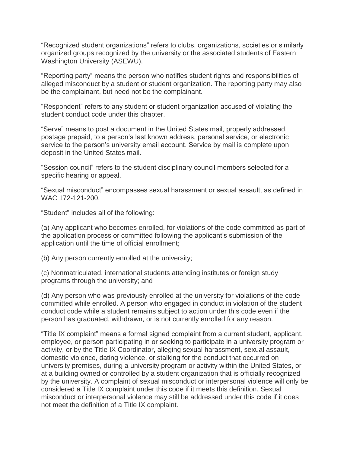"Recognized student organizations" refers to clubs, organizations, societies or similarly organized groups recognized by the university or the associated students of Eastern Washington University (ASEWU).

"Reporting party" means the person who notifies student rights and responsibilities of alleged misconduct by a student or student organization. The reporting party may also be the complainant, but need not be the complainant.

"Respondent" refers to any student or student organization accused of violating the student conduct code under this chapter.

"Serve" means to post a document in the United States mail, properly addressed, postage prepaid, to a person's last known address, personal service, or electronic service to the person's university email account. Service by mail is complete upon deposit in the United States mail.

"Session council" refers to the student disciplinary council members selected for a specific hearing or appeal.

"Sexual misconduct" encompasses sexual harassment or sexual assault, as defined in WAC 172-121-200.

"Student" includes all of the following:

(a) Any applicant who becomes enrolled, for violations of the code committed as part of the application process or committed following the applicant's submission of the application until the time of official enrollment;

(b) Any person currently enrolled at the university;

(c) Nonmatriculated, international students attending institutes or foreign study programs through the university; and

(d) Any person who was previously enrolled at the university for violations of the code committed while enrolled. A person who engaged in conduct in violation of the student conduct code while a student remains subject to action under this code even if the person has graduated, withdrawn, or is not currently enrolled for any reason.

"Title IX complaint" means a formal signed complaint from a current student, applicant, employee, or person participating in or seeking to participate in a university program or activity, or by the Title IX Coordinator, alleging sexual harassment, sexual assault, domestic violence, dating violence, or stalking for the conduct that occurred on university premises, during a university program or activity within the United States, or at a building owned or controlled by a student organization that is officially recognized by the university. A complaint of sexual misconduct or interpersonal violence will only be considered a Title IX complaint under this code if it meets this definition. Sexual misconduct or interpersonal violence may still be addressed under this code if it does not meet the definition of a Title IX complaint.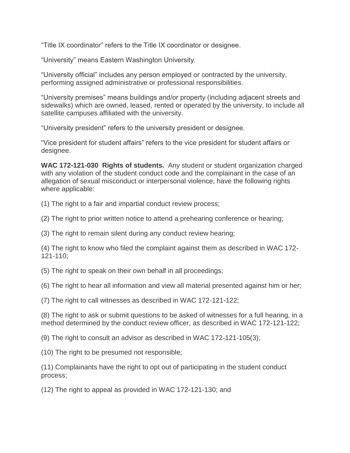"Title IX coordinator" refers to the Title IX coordinator or designee.

"University" means Eastern Washington University.

"University official" includes any person employed or contracted by the university, performing assigned administrative or professional responsibilities.

"University premises" means buildings and/or property (including adjacent streets and sidewalks) which are owned, leased, rented or operated by the university, to include all satellite campuses affiliated with the university.

"University president" refers to the university president or designee.

"Vice president for student affairs" refers to the vice president for student affairs or designee.

**WAC 172-121-030 Rights of students.** Any student or student organization charged with any violation of the student conduct code and the complainant in the case of an allegation of sexual misconduct or interpersonal violence, have the following rights where applicable:

(1) The right to a fair and impartial conduct review process;

(2) The right to prior written notice to attend a prehearing conference or hearing;

(3) The right to remain silent during any conduct review hearing;

(4) The right to know who filed the complaint against them as described in WAC 172- 121-110;

(5) The right to speak on their own behalf in all proceedings;

(6) The right to hear all information and view all material presented against him or her;

(7) The right to call witnesses as described in WAC 172-121-122;

(8) The right to ask or submit questions to be asked of witnesses for a full hearing, in a method determined by the conduct review officer, as described in WAC 172-121-122;

(9) The right to consult an advisor as described in WAC 172-121-105(3);

(10) The right to be presumed not responsible;

(11) Complainants have the right to opt out of participating in the student conduct process;

(12) The right to appeal as provided in WAC 172-121-130; and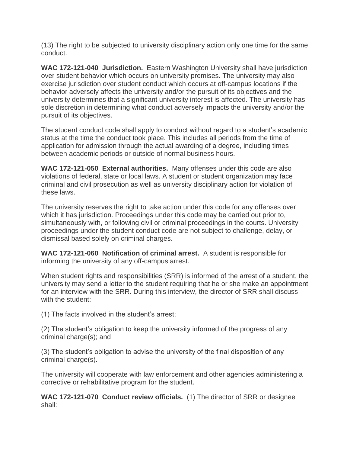(13) The right to be subjected to university disciplinary action only one time for the same conduct.

**WAC 172-121-040 Jurisdiction.** Eastern Washington University shall have jurisdiction over student behavior which occurs on university premises. The university may also exercise jurisdiction over student conduct which occurs at off-campus locations if the behavior adversely affects the university and/or the pursuit of its objectives and the university determines that a significant university interest is affected. The university has sole discretion in determining what conduct adversely impacts the university and/or the pursuit of its objectives.

The student conduct code shall apply to conduct without regard to a student's academic status at the time the conduct took place. This includes all periods from the time of application for admission through the actual awarding of a degree, including times between academic periods or outside of normal business hours.

**WAC 172-121-050 External authorities.** Many offenses under this code are also violations of federal, state or local laws. A student or student organization may face criminal and civil prosecution as well as university disciplinary action for violation of these laws.

The university reserves the right to take action under this code for any offenses over which it has jurisdiction. Proceedings under this code may be carried out prior to, simultaneously with, or following civil or criminal proceedings in the courts. University proceedings under the student conduct code are not subject to challenge, delay, or dismissal based solely on criminal charges.

**WAC 172-121-060 Notification of criminal arrest.** A student is responsible for informing the university of any off-campus arrest.

When student rights and responsibilities (SRR) is informed of the arrest of a student, the university may send a letter to the student requiring that he or she make an appointment for an interview with the SRR. During this interview, the director of SRR shall discuss with the student:

(1) The facts involved in the student's arrest;

(2) The student's obligation to keep the university informed of the progress of any criminal charge(s); and

(3) The student's obligation to advise the university of the final disposition of any criminal charge(s).

The university will cooperate with law enforcement and other agencies administering a corrective or rehabilitative program for the student.

**WAC 172-121-070 Conduct review officials.** (1) The director of SRR or designee shall: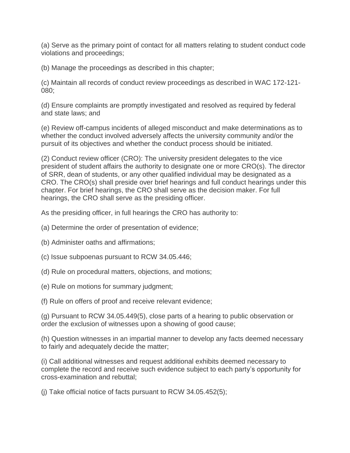(a) Serve as the primary point of contact for all matters relating to student conduct code violations and proceedings;

(b) Manage the proceedings as described in this chapter;

(c) Maintain all records of conduct review proceedings as described in WAC 172-121- 080;

(d) Ensure complaints are promptly investigated and resolved as required by federal and state laws; and

(e) Review off-campus incidents of alleged misconduct and make determinations as to whether the conduct involved adversely affects the university community and/or the pursuit of its objectives and whether the conduct process should be initiated.

(2) Conduct review officer (CRO): The university president delegates to the vice president of student affairs the authority to designate one or more CRO(s). The director of SRR, dean of students, or any other qualified individual may be designated as a CRO. The CRO(s) shall preside over brief hearings and full conduct hearings under this chapter. For brief hearings, the CRO shall serve as the decision maker. For full hearings, the CRO shall serve as the presiding officer.

As the presiding officer, in full hearings the CRO has authority to:

- (a) Determine the order of presentation of evidence;
- (b) Administer oaths and affirmations;
- (c) Issue subpoenas pursuant to RCW 34.05.446;
- (d) Rule on procedural matters, objections, and motions;
- (e) Rule on motions for summary judgment;

(f) Rule on offers of proof and receive relevant evidence;

(g) Pursuant to RCW 34.05.449(5), close parts of a hearing to public observation or order the exclusion of witnesses upon a showing of good cause;

(h) Question witnesses in an impartial manner to develop any facts deemed necessary to fairly and adequately decide the matter;

(i) Call additional witnesses and request additional exhibits deemed necessary to complete the record and receive such evidence subject to each party's opportunity for cross-examination and rebuttal;

(j) Take official notice of facts pursuant to RCW 34.05.452(5);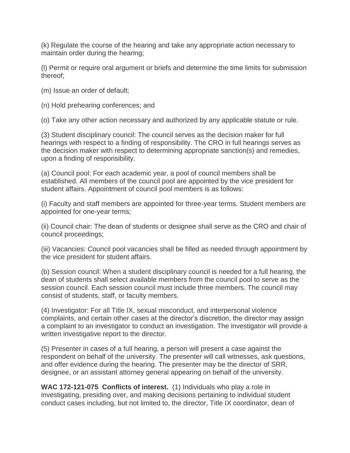(k) Regulate the course of the hearing and take any appropriate action necessary to maintain order during the hearing;

(l) Permit or require oral argument or briefs and determine the time limits for submission thereof;

- (m) Issue an order of default;
- (n) Hold prehearing conferences; and

(o) Take any other action necessary and authorized by any applicable statute or rule.

(3) Student disciplinary council: The council serves as the decision maker for full hearings with respect to a finding of responsibility. The CRO in full hearings serves as the decision maker with respect to determining appropriate sanction(s) and remedies, upon a finding of responsibility.

(a) Council pool: For each academic year, a pool of council members shall be established. All members of the council pool are appointed by the vice president for student affairs. Appointment of council pool members is as follows:

(i) Faculty and staff members are appointed for three-year terms. Student members are appointed for one-year terms;

(ii) Council chair: The dean of students or designee shall serve as the CRO and chair of council proceedings;

(iii) Vacancies: Council pool vacancies shall be filled as needed through appointment by the vice president for student affairs.

(b) Session council: When a student disciplinary council is needed for a full hearing, the dean of students shall select available members from the council pool to serve as the session council. Each session council must include three members. The council may consist of students, staff, or faculty members.

(4) Investigator: For all Title IX, sexual misconduct, and interpersonal violence complaints, and certain other cases at the director's discretion, the director may assign a complaint to an investigator to conduct an investigation. The investigator will provide a written investigative report to the director.

(5) Presenter in cases of a full hearing, a person will present a case against the respondent on behalf of the university. The presenter will call witnesses, ask questions, and offer evidence during the hearing. The presenter may be the director of SRR, designee, or an assistant attorney general appearing on behalf of the university.

**WAC 172-121-075 Conflicts of interest.** (1) Individuals who play a role in investigating, presiding over, and making decisions pertaining to individual student conduct cases including, but not limited to, the director, Title IX coordinator, dean of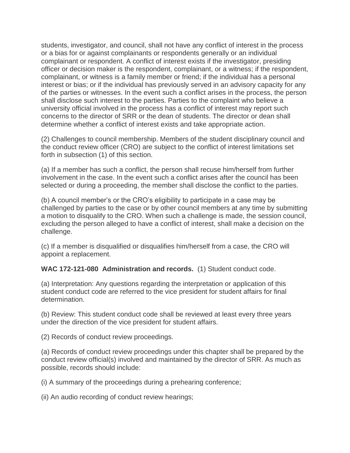students, investigator, and council, shall not have any conflict of interest in the process or a bias for or against complainants or respondents generally or an individual complainant or respondent. A conflict of interest exists if the investigator, presiding officer or decision maker is the respondent, complainant, or a witness; if the respondent, complainant, or witness is a family member or friend; if the individual has a personal interest or bias; or if the individual has previously served in an advisory capacity for any of the parties or witnesses. In the event such a conflict arises in the process, the person shall disclose such interest to the parties. Parties to the complaint who believe a university official involved in the process has a conflict of interest may report such concerns to the director of SRR or the dean of students. The director or dean shall determine whether a conflict of interest exists and take appropriate action.

(2) Challenges to council membership. Members of the student disciplinary council and the conduct review officer (CRO) are subject to the conflict of interest limitations set forth in subsection (1) of this section.

(a) If a member has such a conflict, the person shall recuse him/herself from further involvement in the case. In the event such a conflict arises after the council has been selected or during a proceeding, the member shall disclose the conflict to the parties.

(b) A council member's or the CRO's eligibility to participate in a case may be challenged by parties to the case or by other council members at any time by submitting a motion to disqualify to the CRO. When such a challenge is made, the session council, excluding the person alleged to have a conflict of interest, shall make a decision on the challenge.

(c) If a member is disqualified or disqualifies him/herself from a case, the CRO will appoint a replacement.

**WAC 172-121-080 Administration and records.** (1) Student conduct code.

(a) Interpretation: Any questions regarding the interpretation or application of this student conduct code are referred to the vice president for student affairs for final determination.

(b) Review: This student conduct code shall be reviewed at least every three years under the direction of the vice president for student affairs.

(2) Records of conduct review proceedings.

(a) Records of conduct review proceedings under this chapter shall be prepared by the conduct review official(s) involved and maintained by the director of SRR. As much as possible, records should include:

(i) A summary of the proceedings during a prehearing conference;

(ii) An audio recording of conduct review hearings;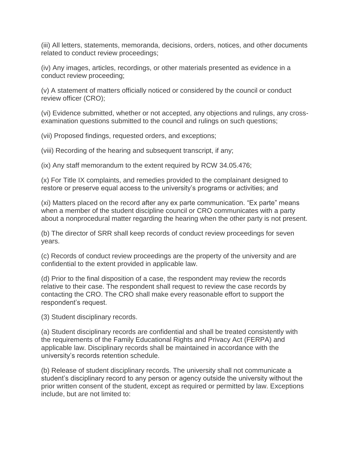(iii) All letters, statements, memoranda, decisions, orders, notices, and other documents related to conduct review proceedings;

(iv) Any images, articles, recordings, or other materials presented as evidence in a conduct review proceeding;

(v) A statement of matters officially noticed or considered by the council or conduct review officer (CRO);

(vi) Evidence submitted, whether or not accepted, any objections and rulings, any crossexamination questions submitted to the council and rulings on such questions;

(vii) Proposed findings, requested orders, and exceptions;

(viii) Recording of the hearing and subsequent transcript, if any;

(ix) Any staff memorandum to the extent required by RCW 34.05.476;

(x) For Title IX complaints, and remedies provided to the complainant designed to restore or preserve equal access to the university's programs or activities; and

(xi) Matters placed on the record after any ex parte communication. "Ex parte" means when a member of the student discipline council or CRO communicates with a party about a nonprocedural matter regarding the hearing when the other party is not present.

(b) The director of SRR shall keep records of conduct review proceedings for seven years.

(c) Records of conduct review proceedings are the property of the university and are confidential to the extent provided in applicable law.

(d) Prior to the final disposition of a case, the respondent may review the records relative to their case. The respondent shall request to review the case records by contacting the CRO. The CRO shall make every reasonable effort to support the respondent's request.

(3) Student disciplinary records.

(a) Student disciplinary records are confidential and shall be treated consistently with the requirements of the Family Educational Rights and Privacy Act (FERPA) and applicable law. Disciplinary records shall be maintained in accordance with the university's records retention schedule.

(b) Release of student disciplinary records. The university shall not communicate a student's disciplinary record to any person or agency outside the university without the prior written consent of the student, except as required or permitted by law. Exceptions include, but are not limited to: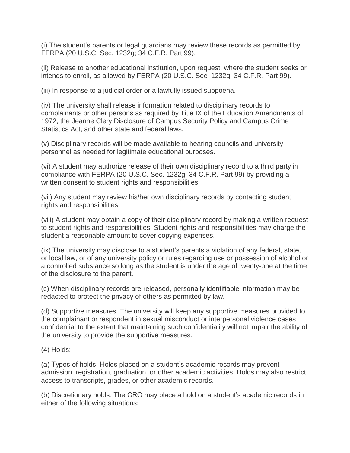(i) The student's parents or legal guardians may review these records as permitted by FERPA (20 U.S.C. Sec. 1232g; 34 C.F.R. Part 99).

(ii) Release to another educational institution, upon request, where the student seeks or intends to enroll, as allowed by FERPA (20 U.S.C. Sec. 1232g; 34 C.F.R. Part 99).

(iii) In response to a judicial order or a lawfully issued subpoena.

(iv) The university shall release information related to disciplinary records to complainants or other persons as required by Title IX of the Education Amendments of 1972, the Jeanne Clery Disclosure of Campus Security Policy and Campus Crime Statistics Act, and other state and federal laws.

(v) Disciplinary records will be made available to hearing councils and university personnel as needed for legitimate educational purposes.

(vi) A student may authorize release of their own disciplinary record to a third party in compliance with FERPA (20 U.S.C. Sec. 1232g; 34 C.F.R. Part 99) by providing a written consent to student rights and responsibilities.

(vii) Any student may review his/her own disciplinary records by contacting student rights and responsibilities.

(viii) A student may obtain a copy of their disciplinary record by making a written request to student rights and responsibilities. Student rights and responsibilities may charge the student a reasonable amount to cover copying expenses.

(ix) The university may disclose to a student's parents a violation of any federal, state, or local law, or of any university policy or rules regarding use or possession of alcohol or a controlled substance so long as the student is under the age of twenty-one at the time of the disclosure to the parent.

(c) When disciplinary records are released, personally identifiable information may be redacted to protect the privacy of others as permitted by law.

(d) Supportive measures. The university will keep any supportive measures provided to the complainant or respondent in sexual misconduct or interpersonal violence cases confidential to the extent that maintaining such confidentiality will not impair the ability of the university to provide the supportive measures.

(4) Holds:

(a) Types of holds. Holds placed on a student's academic records may prevent admission, registration, graduation, or other academic activities. Holds may also restrict access to transcripts, grades, or other academic records.

(b) Discretionary holds: The CRO may place a hold on a student's academic records in either of the following situations: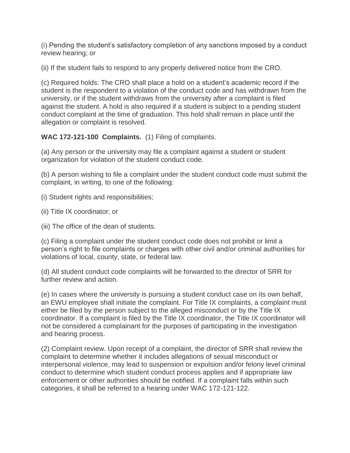(i) Pending the student's satisfactory completion of any sanctions imposed by a conduct review hearing; or

(ii) If the student fails to respond to any properly delivered notice from the CRO.

(c) Required holds: The CRO shall place a hold on a student's academic record if the student is the respondent to a violation of the conduct code and has withdrawn from the university, or if the student withdraws from the university after a complaint is filed against the student. A hold is also required if a student is subject to a pending student conduct complaint at the time of graduation. This hold shall remain in place until the allegation or complaint is resolved.

**WAC 172-121-100 Complaints.** (1) Filing of complaints.

(a) Any person or the university may file a complaint against a student or student organization for violation of the student conduct code.

(b) A person wishing to file a complaint under the student conduct code must submit the complaint, in writing, to one of the following:

- (i) Student rights and responsibilities;
- (ii) Title IX coordinator; or
- (iii) The office of the dean of students.

(c) Filing a complaint under the student conduct code does not prohibit or limit a person's right to file complaints or charges with other civil and/or criminal authorities for violations of local, county, state, or federal law.

(d) All student conduct code complaints will be forwarded to the director of SRR for further review and action.

(e) In cases where the university is pursuing a student conduct case on its own behalf, an EWU employee shall initiate the complaint. For Title IX complaints, a complaint must either be filed by the person subject to the alleged misconduct or by the Title IX coordinator. If a complaint is filed by the Title IX coordinator, the Title IX coordinator will not be considered a complainant for the purposes of participating in the investigation and hearing process.

(2) Complaint review. Upon receipt of a complaint, the director of SRR shall review the complaint to determine whether it includes allegations of sexual misconduct or interpersonal violence, may lead to suspension or expulsion and/or felony level criminal conduct to determine which student conduct process applies and if appropriate law enforcement or other authorities should be notified. If a complaint falls within such categories, it shall be referred to a hearing under WAC 172-121-122.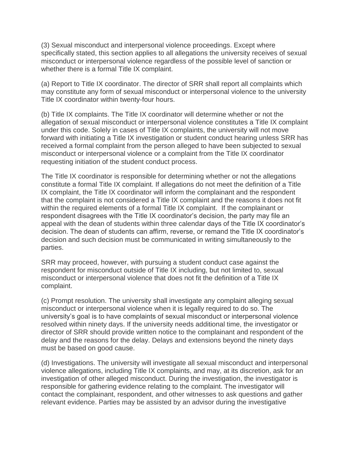(3) Sexual misconduct and interpersonal violence proceedings. Except where specifically stated, this section applies to all allegations the university receives of sexual misconduct or interpersonal violence regardless of the possible level of sanction or whether there is a formal Title IX complaint.

(a) Report to Title IX coordinator. The director of SRR shall report all complaints which may constitute any form of sexual misconduct or interpersonal violence to the university Title IX coordinator within twenty-four hours.

(b) Title IX complaints. The Title IX coordinator will determine whether or not the allegation of sexual misconduct or interpersonal violence constitutes a Title IX complaint under this code. Solely in cases of Title IX complaints, the university will not move forward with initiating a Title IX investigation or student conduct hearing unless SRR has received a formal complaint from the person alleged to have been subjected to sexual misconduct or interpersonal violence or a complaint from the Title IX coordinator requesting initiation of the student conduct process.

The Title IX coordinator is responsible for determining whether or not the allegations constitute a formal Title IX complaint. If allegations do not meet the definition of a Title IX complaint, the Title IX coordinator will inform the complainant and the respondent that the complaint is not considered a Title IX complaint and the reasons it does not fit within the required elements of a formal Title IX complaint. If the complainant or respondent disagrees with the Title IX coordinator's decision, the party may file an appeal with the dean of students within three calendar days of the Title IX coordinator's decision. The dean of students can affirm, reverse, or remand the Title IX coordinator's decision and such decision must be communicated in writing simultaneously to the parties.

SRR may proceed, however, with pursuing a student conduct case against the respondent for misconduct outside of Title IX including, but not limited to, sexual misconduct or interpersonal violence that does not fit the definition of a Title IX complaint.

(c) Prompt resolution. The university shall investigate any complaint alleging sexual misconduct or interpersonal violence when it is legally required to do so. The university's goal is to have complaints of sexual misconduct or interpersonal violence resolved within ninety days. If the university needs additional time, the investigator or director of SRR should provide written notice to the complainant and respondent of the delay and the reasons for the delay. Delays and extensions beyond the ninety days must be based on good cause.

(d) Investigations. The university will investigate all sexual misconduct and interpersonal violence allegations, including Title IX complaints, and may, at its discretion, ask for an investigation of other alleged misconduct. During the investigation, the investigator is responsible for gathering evidence relating to the complaint. The investigator will contact the complainant, respondent, and other witnesses to ask questions and gather relevant evidence. Parties may be assisted by an advisor during the investigative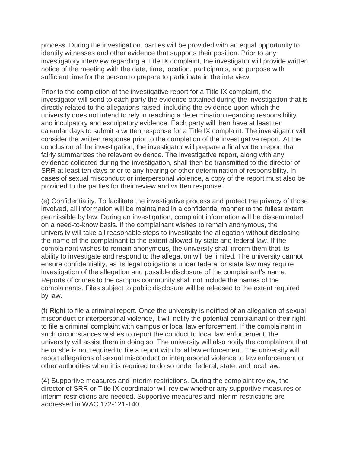process. During the investigation, parties will be provided with an equal opportunity to identify witnesses and other evidence that supports their position. Prior to any investigatory interview regarding a Title IX complaint, the investigator will provide written notice of the meeting with the date, time, location, participants, and purpose with sufficient time for the person to prepare to participate in the interview.

Prior to the completion of the investigative report for a Title IX complaint, the investigator will send to each party the evidence obtained during the investigation that is directly related to the allegations raised, including the evidence upon which the university does not intend to rely in reaching a determination regarding responsibility and inculpatory and exculpatory evidence. Each party will then have at least ten calendar days to submit a written response for a Title IX complaint. The investigator will consider the written response prior to the completion of the investigative report. At the conclusion of the investigation, the investigator will prepare a final written report that fairly summarizes the relevant evidence. The investigative report, along with any evidence collected during the investigation, shall then be transmitted to the director of SRR at least ten days prior to any hearing or other determination of responsibility. In cases of sexual misconduct or interpersonal violence, a copy of the report must also be provided to the parties for their review and written response.

(e) Confidentiality. To facilitate the investigative process and protect the privacy of those involved, all information will be maintained in a confidential manner to the fullest extent permissible by law. During an investigation, complaint information will be disseminated on a need-to-know basis. If the complainant wishes to remain anonymous, the university will take all reasonable steps to investigate the allegation without disclosing the name of the complainant to the extent allowed by state and federal law. If the complainant wishes to remain anonymous, the university shall inform them that its ability to investigate and respond to the allegation will be limited. The university cannot ensure confidentiality, as its legal obligations under federal or state law may require investigation of the allegation and possible disclosure of the complainant's name. Reports of crimes to the campus community shall not include the names of the complainants. Files subject to public disclosure will be released to the extent required by law.

(f) Right to file a criminal report. Once the university is notified of an allegation of sexual misconduct or interpersonal violence, it will notify the potential complainant of their right to file a criminal complaint with campus or local law enforcement. If the complainant in such circumstances wishes to report the conduct to local law enforcement, the university will assist them in doing so. The university will also notify the complainant that he or she is not required to file a report with local law enforcement. The university will report allegations of sexual misconduct or interpersonal violence to law enforcement or other authorities when it is required to do so under federal, state, and local law.

(4) Supportive measures and interim restrictions. During the complaint review, the director of SRR or Title IX coordinator will review whether any supportive measures or interim restrictions are needed. Supportive measures and interim restrictions are addressed in WAC 172-121-140.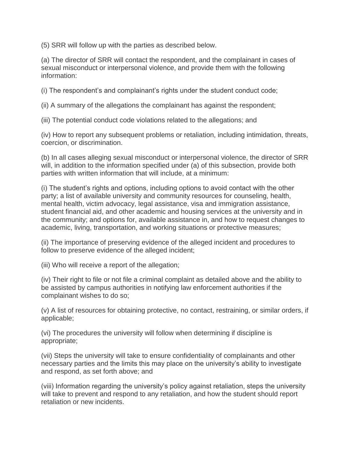(5) SRR will follow up with the parties as described below.

(a) The director of SRR will contact the respondent, and the complainant in cases of sexual misconduct or interpersonal violence, and provide them with the following information:

(i) The respondent's and complainant's rights under the student conduct code;

(ii) A summary of the allegations the complainant has against the respondent;

(iii) The potential conduct code violations related to the allegations; and

(iv) How to report any subsequent problems or retaliation, including intimidation, threats, coercion, or discrimination.

(b) In all cases alleging sexual misconduct or interpersonal violence, the director of SRR will, in addition to the information specified under (a) of this subsection, provide both parties with written information that will include, at a minimum:

(i) The student's rights and options, including options to avoid contact with the other party; a list of available university and community resources for counseling, health, mental health, victim advocacy, legal assistance, visa and immigration assistance, student financial aid, and other academic and housing services at the university and in the community; and options for, available assistance in, and how to request changes to academic, living, transportation, and working situations or protective measures;

(ii) The importance of preserving evidence of the alleged incident and procedures to follow to preserve evidence of the alleged incident;

(iii) Who will receive a report of the allegation;

(iv) Their right to file or not file a criminal complaint as detailed above and the ability to be assisted by campus authorities in notifying law enforcement authorities if the complainant wishes to do so;

(v) A list of resources for obtaining protective, no contact, restraining, or similar orders, if applicable;

(vi) The procedures the university will follow when determining if discipline is appropriate;

(vii) Steps the university will take to ensure confidentiality of complainants and other necessary parties and the limits this may place on the university's ability to investigate and respond, as set forth above; and

(viii) Information regarding the university's policy against retaliation, steps the university will take to prevent and respond to any retaliation, and how the student should report retaliation or new incidents.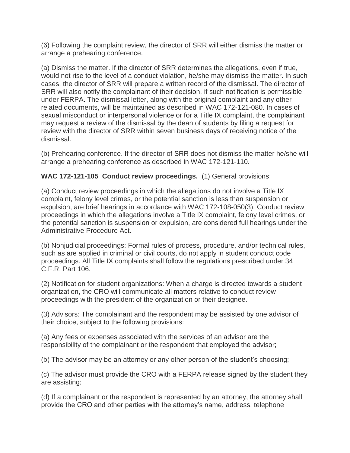(6) Following the complaint review, the director of SRR will either dismiss the matter or arrange a prehearing conference.

(a) Dismiss the matter. If the director of SRR determines the allegations, even if true, would not rise to the level of a conduct violation, he/she may dismiss the matter. In such cases, the director of SRR will prepare a written record of the dismissal. The director of SRR will also notify the complainant of their decision, if such notification is permissible under FERPA. The dismissal letter, along with the original complaint and any other related documents, will be maintained as described in WAC 172-121-080. In cases of sexual misconduct or interpersonal violence or for a Title IX complaint, the complainant may request a review of the dismissal by the dean of students by filing a request for review with the director of SRR within seven business days of receiving notice of the dismissal.

(b) Prehearing conference. If the director of SRR does not dismiss the matter he/she will arrange a prehearing conference as described in WAC 172-121-110.

### **WAC 172-121-105 Conduct review proceedings.** (1) General provisions:

(a) Conduct review proceedings in which the allegations do not involve a Title IX complaint, felony level crimes, or the potential sanction is less than suspension or expulsion, are brief hearings in accordance with WAC 172-108-050(3). Conduct review proceedings in which the allegations involve a Title IX complaint, felony level crimes, or the potential sanction is suspension or expulsion, are considered full hearings under the Administrative Procedure Act.

(b) Nonjudicial proceedings: Formal rules of process, procedure, and/or technical rules, such as are applied in criminal or civil courts, do not apply in student conduct code proceedings. All Title IX complaints shall follow the regulations prescribed under 34 C.F.R. Part 106.

(2) Notification for student organizations: When a charge is directed towards a student organization, the CRO will communicate all matters relative to conduct review proceedings with the president of the organization or their designee.

(3) Advisors: The complainant and the respondent may be assisted by one advisor of their choice, subject to the following provisions:

(a) Any fees or expenses associated with the services of an advisor are the responsibility of the complainant or the respondent that employed the advisor;

(b) The advisor may be an attorney or any other person of the student's choosing;

(c) The advisor must provide the CRO with a FERPA release signed by the student they are assisting;

(d) If a complainant or the respondent is represented by an attorney, the attorney shall provide the CRO and other parties with the attorney's name, address, telephone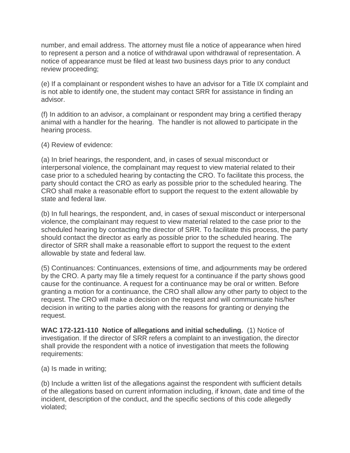number, and email address. The attorney must file a notice of appearance when hired to represent a person and a notice of withdrawal upon withdrawal of representation. A notice of appearance must be filed at least two business days prior to any conduct review proceeding;

(e) If a complainant or respondent wishes to have an advisor for a Title IX complaint and is not able to identify one, the student may contact SRR for assistance in finding an advisor.

(f) In addition to an advisor, a complainant or respondent may bring a certified therapy animal with a handler for the hearing. The handler is not allowed to participate in the hearing process.

(4) Review of evidence:

(a) In brief hearings, the respondent, and, in cases of sexual misconduct or interpersonal violence, the complainant may request to view material related to their case prior to a scheduled hearing by contacting the CRO. To facilitate this process, the party should contact the CRO as early as possible prior to the scheduled hearing. The CRO shall make a reasonable effort to support the request to the extent allowable by state and federal law.

(b) In full hearings, the respondent, and, in cases of sexual misconduct or interpersonal violence, the complainant may request to view material related to the case prior to the scheduled hearing by contacting the director of SRR. To facilitate this process, the party should contact the director as early as possible prior to the scheduled hearing. The director of SRR shall make a reasonable effort to support the request to the extent allowable by state and federal law.

(5) Continuances: Continuances, extensions of time, and adjournments may be ordered by the CRO. A party may file a timely request for a continuance if the party shows good cause for the continuance. A request for a continuance may be oral or written. Before granting a motion for a continuance, the CRO shall allow any other party to object to the request. The CRO will make a decision on the request and will communicate his/her decision in writing to the parties along with the reasons for granting or denying the request.

**WAC 172-121-110 Notice of allegations and initial scheduling.** (1) Notice of investigation. If the director of SRR refers a complaint to an investigation, the director shall provide the respondent with a notice of investigation that meets the following requirements:

(a) Is made in writing;

(b) Include a written list of the allegations against the respondent with sufficient details of the allegations based on current information including, if known, date and time of the incident, description of the conduct, and the specific sections of this code allegedly violated;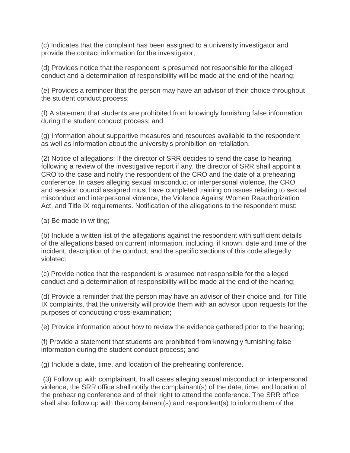(c) Indicates that the complaint has been assigned to a university investigator and provide the contact information for the investigator;

(d) Provides notice that the respondent is presumed not responsible for the alleged conduct and a determination of responsibility will be made at the end of the hearing;

(e) Provides a reminder that the person may have an advisor of their choice throughout the student conduct process;

(f) A statement that students are prohibited from knowingly furnishing false information during the student conduct process; and

(g) Information about supportive measures and resources available to the respondent as well as information about the university's prohibition on retaliation.

(2) Notice of allegations: If the director of SRR decides to send the case to hearing, following a review of the investigative report if any, the director of SRR shall appoint a CRO to the case and notify the respondent of the CRO and the date of a prehearing conference. In cases alleging sexual misconduct or interpersonal violence, the CRO and session council assigned must have completed training on issues relating to sexual misconduct and interpersonal violence, the Violence Against Women Reauthorization Act, and Title IX requirements. Notification of the allegations to the respondent must:

(a) Be made in writing;

(b) Include a written list of the allegations against the respondent with sufficient details of the allegations based on current information, including, if known, date and time of the incident, description of the conduct, and the specific sections of this code allegedly violated;

(c) Provide notice that the respondent is presumed not responsible for the alleged conduct and a determination of responsibility will be made at the end of the hearing;

(d) Provide a reminder that the person may have an advisor of their choice and, for Title IX complaints, that the university will provide them with an advisor upon requests for the purposes of conducting cross-examination;

(e) Provide information about how to review the evidence gathered prior to the hearing;

(f) Provide a statement that students are prohibited from knowingly furnishing false information during the student conduct process; and

(g) Include a date, time, and location of the prehearing conference.

(3) Follow up with complainant. In all cases alleging sexual misconduct or interpersonal violence, the SRR office shall notify the complainant(s) of the date, time, and location of the prehearing conference and of their right to attend the conference. The SRR office shall also follow up with the complainant(s) and respondent(s) to inform them of the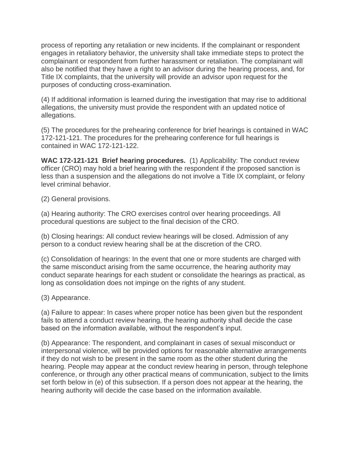process of reporting any retaliation or new incidents. If the complainant or respondent engages in retaliatory behavior, the university shall take immediate steps to protect the complainant or respondent from further harassment or retaliation. The complainant will also be notified that they have a right to an advisor during the hearing process, and, for Title IX complaints, that the university will provide an advisor upon request for the purposes of conducting cross-examination.

(4) If additional information is learned during the investigation that may rise to additional allegations, the university must provide the respondent with an updated notice of allegations.

(5) The procedures for the prehearing conference for brief hearings is contained in WAC 172-121-121. The procedures for the prehearing conference for full hearings is contained in WAC 172-121-122.

**WAC 172-121-121 Brief hearing procedures.** (1) Applicability: The conduct review officer (CRO) may hold a brief hearing with the respondent if the proposed sanction is less than a suspension and the allegations do not involve a Title IX complaint, or felony level criminal behavior.

(2) General provisions.

(a) Hearing authority: The CRO exercises control over hearing proceedings. All procedural questions are subject to the final decision of the CRO.

(b) Closing hearings: All conduct review hearings will be closed. Admission of any person to a conduct review hearing shall be at the discretion of the CRO.

(c) Consolidation of hearings: In the event that one or more students are charged with the same misconduct arising from the same occurrence, the hearing authority may conduct separate hearings for each student or consolidate the hearings as practical, as long as consolidation does not impinge on the rights of any student.

(3) Appearance.

(a) Failure to appear: In cases where proper notice has been given but the respondent fails to attend a conduct review hearing, the hearing authority shall decide the case based on the information available, without the respondent's input.

(b) Appearance: The respondent, and complainant in cases of sexual misconduct or interpersonal violence, will be provided options for reasonable alternative arrangements if they do not wish to be present in the same room as the other student during the hearing. People may appear at the conduct review hearing in person, through telephone conference, or through any other practical means of communication, subject to the limits set forth below in (e) of this subsection. If a person does not appear at the hearing, the hearing authority will decide the case based on the information available.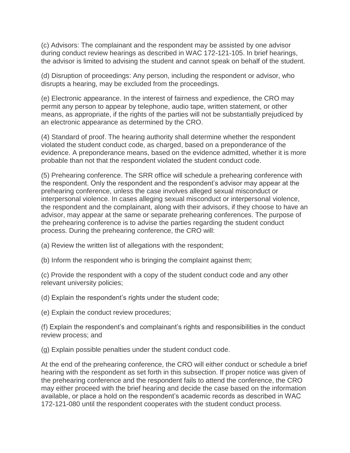(c) Advisors: The complainant and the respondent may be assisted by one advisor during conduct review hearings as described in WAC 172-121-105. In brief hearings, the advisor is limited to advising the student and cannot speak on behalf of the student.

(d) Disruption of proceedings: Any person, including the respondent or advisor, who disrupts a hearing, may be excluded from the proceedings.

(e) Electronic appearance. In the interest of fairness and expedience, the CRO may permit any person to appear by telephone, audio tape, written statement, or other means, as appropriate, if the rights of the parties will not be substantially prejudiced by an electronic appearance as determined by the CRO.

(4) Standard of proof. The hearing authority shall determine whether the respondent violated the student conduct code, as charged, based on a preponderance of the evidence. A preponderance means, based on the evidence admitted, whether it is more probable than not that the respondent violated the student conduct code.

(5) Prehearing conference. The SRR office will schedule a prehearing conference with the respondent. Only the respondent and the respondent's advisor may appear at the prehearing conference, unless the case involves alleged sexual misconduct or interpersonal violence. In cases alleging sexual misconduct or interpersonal violence, the respondent and the complainant, along with their advisors, if they choose to have an advisor, may appear at the same or separate prehearing conferences. The purpose of the prehearing conference is to advise the parties regarding the student conduct process. During the prehearing conference, the CRO will:

(a) Review the written list of allegations with the respondent;

(b) Inform the respondent who is bringing the complaint against them;

(c) Provide the respondent with a copy of the student conduct code and any other relevant university policies;

(d) Explain the respondent's rights under the student code;

(e) Explain the conduct review procedures;

(f) Explain the respondent's and complainant's rights and responsibilities in the conduct review process; and

(g) Explain possible penalties under the student conduct code.

At the end of the prehearing conference, the CRO will either conduct or schedule a brief hearing with the respondent as set forth in this subsection. If proper notice was given of the prehearing conference and the respondent fails to attend the conference, the CRO may either proceed with the brief hearing and decide the case based on the information available, or place a hold on the respondent's academic records as described in WAC 172-121-080 until the respondent cooperates with the student conduct process.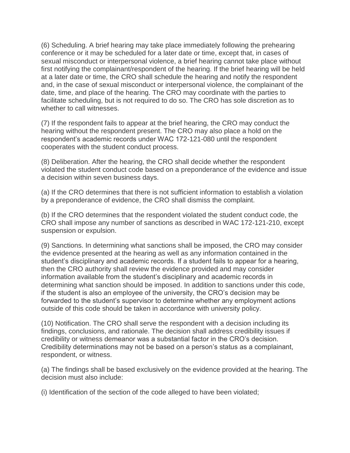(6) Scheduling. A brief hearing may take place immediately following the prehearing conference or it may be scheduled for a later date or time, except that, in cases of sexual misconduct or interpersonal violence, a brief hearing cannot take place without first notifying the complainant/respondent of the hearing. If the brief hearing will be held at a later date or time, the CRO shall schedule the hearing and notify the respondent and, in the case of sexual misconduct or interpersonal violence, the complainant of the date, time, and place of the hearing. The CRO may coordinate with the parties to facilitate scheduling, but is not required to do so. The CRO has sole discretion as to whether to call witnesses.

(7) If the respondent fails to appear at the brief hearing, the CRO may conduct the hearing without the respondent present. The CRO may also place a hold on the respondent's academic records under WAC 172-121-080 until the respondent cooperates with the student conduct process.

(8) Deliberation. After the hearing, the CRO shall decide whether the respondent violated the student conduct code based on a preponderance of the evidence and issue a decision within seven business days.

(a) If the CRO determines that there is not sufficient information to establish a violation by a preponderance of evidence, the CRO shall dismiss the complaint.

(b) If the CRO determines that the respondent violated the student conduct code, the CRO shall impose any number of sanctions as described in WAC 172-121-210, except suspension or expulsion.

(9) Sanctions. In determining what sanctions shall be imposed, the CRO may consider the evidence presented at the hearing as well as any information contained in the student's disciplinary and academic records. If a student fails to appear for a hearing, then the CRO authority shall review the evidence provided and may consider information available from the student's disciplinary and academic records in determining what sanction should be imposed. In addition to sanctions under this code, if the student is also an employee of the university, the CRO's decision may be forwarded to the student's supervisor to determine whether any employment actions outside of this code should be taken in accordance with university policy.

(10) Notification. The CRO shall serve the respondent with a decision including its findings, conclusions, and rationale. The decision shall address credibility issues if credibility or witness demeanor was a substantial factor in the CRO's decision. Credibility determinations may not be based on a person's status as a complainant, respondent, or witness.

(a) The findings shall be based exclusively on the evidence provided at the hearing. The decision must also include:

(i) Identification of the section of the code alleged to have been violated;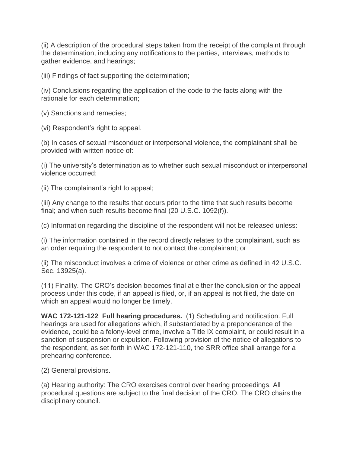(ii) A description of the procedural steps taken from the receipt of the complaint through the determination, including any notifications to the parties, interviews, methods to gather evidence, and hearings;

(iii) Findings of fact supporting the determination;

(iv) Conclusions regarding the application of the code to the facts along with the rationale for each determination;

(v) Sanctions and remedies;

(vi) Respondent's right to appeal.

(b) In cases of sexual misconduct or interpersonal violence, the complainant shall be provided with written notice of:

(i) The university's determination as to whether such sexual misconduct or interpersonal violence occurred;

(ii) The complainant's right to appeal;

(iii) Any change to the results that occurs prior to the time that such results become final; and when such results become final (20 U.S.C. 1092(f)).

(c) Information regarding the discipline of the respondent will not be released unless:

(i) The information contained in the record directly relates to the complainant, such as an order requiring the respondent to not contact the complainant; or

(ii) The misconduct involves a crime of violence or other crime as defined in 42 U.S.C. Sec. 13925(a).

(11) Finality. The CRO's decision becomes final at either the conclusion or the appeal process under this code, if an appeal is filed, or, if an appeal is not filed, the date on which an appeal would no longer be timely.

**WAC 172-121-122 Full hearing procedures.** (1) Scheduling and notification. Full hearings are used for allegations which, if substantiated by a preponderance of the evidence, could be a felony-level crime, involve a Title IX complaint, or could result in a sanction of suspension or expulsion. Following provision of the notice of allegations to the respondent, as set forth in WAC 172-121-110, the SRR office shall arrange for a prehearing conference.

(2) General provisions.

(a) Hearing authority: The CRO exercises control over hearing proceedings. All procedural questions are subject to the final decision of the CRO. The CRO chairs the disciplinary council.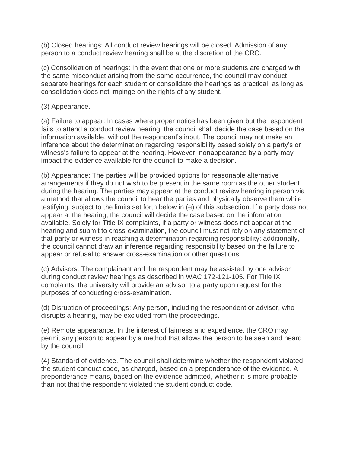(b) Closed hearings: All conduct review hearings will be closed. Admission of any person to a conduct review hearing shall be at the discretion of the CRO.

(c) Consolidation of hearings: In the event that one or more students are charged with the same misconduct arising from the same occurrence, the council may conduct separate hearings for each student or consolidate the hearings as practical, as long as consolidation does not impinge on the rights of any student.

#### (3) Appearance.

(a) Failure to appear: In cases where proper notice has been given but the respondent fails to attend a conduct review hearing, the council shall decide the case based on the information available, without the respondent's input. The council may not make an inference about the determination regarding responsibility based solely on a party's or witness's failure to appear at the hearing. However, nonappearance by a party may impact the evidence available for the council to make a decision.

(b) Appearance: The parties will be provided options for reasonable alternative arrangements if they do not wish to be present in the same room as the other student during the hearing. The parties may appear at the conduct review hearing in person via a method that allows the council to hear the parties and physically observe them while testifying, subject to the limits set forth below in (e) of this subsection. If a party does not appear at the hearing, the council will decide the case based on the information available. Solely for Title IX complaints, if a party or witness does not appear at the hearing and submit to cross-examination, the council must not rely on any statement of that party or witness in reaching a determination regarding responsibility; additionally, the council cannot draw an inference regarding responsibility based on the failure to appear or refusal to answer cross-examination or other questions.

(c) Advisors: The complainant and the respondent may be assisted by one advisor during conduct review hearings as described in WAC 172-121-105. For Title IX complaints, the university will provide an advisor to a party upon request for the purposes of conducting cross-examination.

(d) Disruption of proceedings: Any person, including the respondent or advisor, who disrupts a hearing, may be excluded from the proceedings.

(e) Remote appearance. In the interest of fairness and expedience, the CRO may permit any person to appear by a method that allows the person to be seen and heard by the council.

(4) Standard of evidence. The council shall determine whether the respondent violated the student conduct code, as charged, based on a preponderance of the evidence. A preponderance means, based on the evidence admitted, whether it is more probable than not that the respondent violated the student conduct code.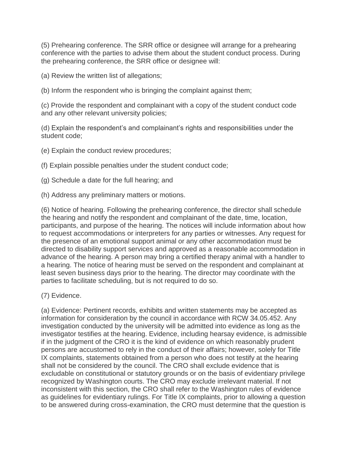(5) Prehearing conference. The SRR office or designee will arrange for a prehearing conference with the parties to advise them about the student conduct process. During the prehearing conference, the SRR office or designee will:

(a) Review the written list of allegations;

(b) Inform the respondent who is bringing the complaint against them;

(c) Provide the respondent and complainant with a copy of the student conduct code and any other relevant university policies;

(d) Explain the respondent's and complainant's rights and responsibilities under the student code;

(e) Explain the conduct review procedures;

(f) Explain possible penalties under the student conduct code;

(g) Schedule a date for the full hearing; and

(h) Address any preliminary matters or motions.

(6) Notice of hearing. Following the prehearing conference, the director shall schedule the hearing and notify the respondent and complainant of the date, time, location, participants, and purpose of the hearing. The notices will include information about how to request accommodations or interpreters for any parties or witnesses. Any request for the presence of an emotional support animal or any other accommodation must be directed to disability support services and approved as a reasonable accommodation in advance of the hearing. A person may bring a certified therapy animal with a handler to a hearing. The notice of hearing must be served on the respondent and complainant at least seven business days prior to the hearing. The director may coordinate with the parties to facilitate scheduling, but is not required to do so.

(7) Evidence.

(a) Evidence: Pertinent records, exhibits and written statements may be accepted as information for consideration by the council in accordance with RCW 34.05.452. Any investigation conducted by the university will be admitted into evidence as long as the investigator testifies at the hearing. Evidence, including hearsay evidence, is admissible if in the judgment of the CRO it is the kind of evidence on which reasonably prudent persons are accustomed to rely in the conduct of their affairs; however, solely for Title IX complaints, statements obtained from a person who does not testify at the hearing shall not be considered by the council. The CRO shall exclude evidence that is excludable on constitutional or statutory grounds or on the basis of evidentiary privilege recognized by Washington courts. The CRO may exclude irrelevant material. If not inconsistent with this section, the CRO shall refer to the Washington rules of evidence as guidelines for evidentiary rulings. For Title IX complaints, prior to allowing a question to be answered during cross-examination, the CRO must determine that the question is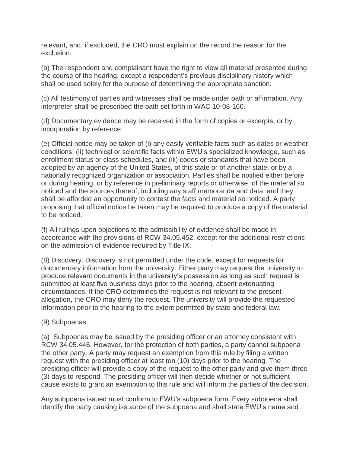relevant, and, if excluded, the CRO must explain on the record the reason for the exclusion.

(b) The respondent and complainant have the right to view all material presented during the course of the hearing, except a respondent's previous disciplinary history which shall be used solely for the purpose of determining the appropriate sanction.

(c) All testimony of parties and witnesses shall be made under oath or affirmation. Any interpreter shall be proscribed the oath set forth in WAC 10-08-160.

(d) Documentary evidence may be received in the form of copies or excerpts, or by incorporation by reference.

(e) Official notice may be taken of (i) any easily verifiable facts such as dates or weather conditions, (ii) technical or scientific facts within EWU's specialized knowledge, such as enrollment status or class schedules, and (iii) codes or standards that have been adopted by an agency of the United States, of this state or of another state, or by a nationally recognized organization or association. Parties shall be notified either before or during hearing, or by reference in preliminary reports or otherwise, of the material so noticed and the sources thereof, including any staff memoranda and data, and they shall be afforded an opportunity to contest the facts and material so noticed. A party proposing that official notice be taken may be required to produce a copy of the material to be noticed.

(f) All rulings upon objections to the admissibility of evidence shall be made in accordance with the provisions of RCW 34.05.452, except for the additional restrictions on the admission of evidence required by Title IX.

(8) Discovery. Discovery is not permitted under the code, except for requests for documentary information from the university. Either party may request the university to produce relevant documents in the university's possession as long as such request is submitted at least five business days prior to the hearing, absent extenuating circumstances. If the CRO determines the request is not relevant to the present allegation, the CRO may deny the request. The university will provide the requested information prior to the hearing to the extent permitted by state and federal law.

(9) Subpoenas.

(a) Subpoenas may be issued by the presiding officer or an attorney consistent with RCW 34.05.446. However, for the protection of both parties, a party cannot subpoena the other party. A party may request an exemption from this rule by filing a written request with the presiding officer at least ten (10) days prior to the hearing. The presiding officer will provide a copy of the request to the other party and give them three (3) days to respond. The presiding officer will then decide whether or not sufficient cause exists to grant an exemption to this rule and will inform the parties of the decision.

Any subpoena issued must conform to EWU's subpoena form. Every subpoena shall identify the party causing issuance of the subpoena and shall state EWU's name and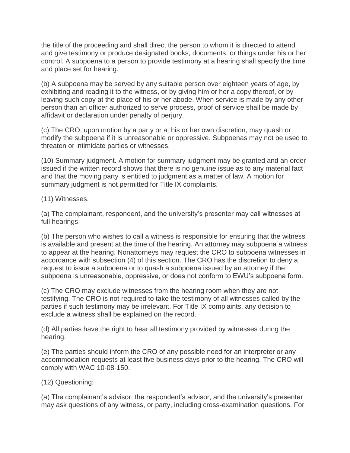the title of the proceeding and shall direct the person to whom it is directed to attend and give testimony or produce designated books, documents, or things under his or her control. A subpoena to a person to provide testimony at a hearing shall specify the time and place set for hearing.

(b) A subpoena may be served by any suitable person over eighteen years of age, by exhibiting and reading it to the witness, or by giving him or her a copy thereof, or by leaving such copy at the place of his or her abode. When service is made by any other person than an officer authorized to serve process, proof of service shall be made by affidavit or declaration under penalty of perjury.

(c) The CRO, upon motion by a party or at his or her own discretion, may quash or modify the subpoena if it is unreasonable or oppressive. Subpoenas may not be used to threaten or intimidate parties or witnesses.

(10) Summary judgment. A motion for summary judgment may be granted and an order issued if the written record shows that there is no genuine issue as to any material fact and that the moving party is entitled to judgment as a matter of law. A motion for summary judgment is not permitted for Title IX complaints.

(11) Witnesses.

(a) The complainant, respondent, and the university's presenter may call witnesses at full hearings.

(b) The person who wishes to call a witness is responsible for ensuring that the witness is available and present at the time of the hearing. An attorney may subpoena a witness to appear at the hearing. Nonattorneys may request the CRO to subpoena witnesses in accordance with subsection (4) of this section. The CRO has the discretion to deny a request to issue a subpoena or to quash a subpoena issued by an attorney if the subpoena is unreasonable, oppressive, or does not conform to EWU's subpoena form.

(c) The CRO may exclude witnesses from the hearing room when they are not testifying. The CRO is not required to take the testimony of all witnesses called by the parties if such testimony may be irrelevant. For Title IX complaints, any decision to exclude a witness shall be explained on the record.

(d) All parties have the right to hear all testimony provided by witnesses during the hearing.

(e) The parties should inform the CRO of any possible need for an interpreter or any accommodation requests at least five business days prior to the hearing. The CRO will comply with WAC 10-08-150.

(12) Questioning:

(a) The complainant's advisor, the respondent's advisor, and the university's presenter may ask questions of any witness, or party, including cross-examination questions. For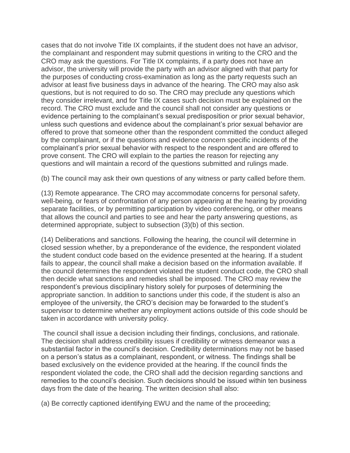cases that do not involve Title IX complaints, if the student does not have an advisor, the complainant and respondent may submit questions in writing to the CRO and the CRO may ask the questions. For Title IX complaints, if a party does not have an advisor, the university will provide the party with an advisor aligned with that party for the purposes of conducting cross-examination as long as the party requests such an advisor at least five business days in advance of the hearing. The CRO may also ask questions, but is not required to do so. The CRO may preclude any questions which they consider irrelevant, and for Title IX cases such decision must be explained on the record. The CRO must exclude and the council shall not consider any questions or evidence pertaining to the complainant's sexual predisposition or prior sexual behavior, unless such questions and evidence about the complainant's prior sexual behavior are offered to prove that someone other than the respondent committed the conduct alleged by the complainant, or if the questions and evidence concern specific incidents of the complainant's prior sexual behavior with respect to the respondent and are offered to prove consent. The CRO will explain to the parties the reason for rejecting any questions and will maintain a record of the questions submitted and rulings made.

(b) The council may ask their own questions of any witness or party called before them.

(13) Remote appearance. The CRO may accommodate concerns for personal safety, well-being, or fears of confrontation of any person appearing at the hearing by providing separate facilities, or by permitting participation by video conferencing, or other means that allows the council and parties to see and hear the party answering questions, as determined appropriate, subject to subsection (3)(b) of this section.

(14) Deliberations and sanctions. Following the hearing, the council will determine in closed session whether, by a preponderance of the evidence, the respondent violated the student conduct code based on the evidence presented at the hearing. If a student fails to appear, the council shall make a decision based on the information available. If the council determines the respondent violated the student conduct code, the CRO shall then decide what sanctions and remedies shall be imposed. The CRO may review the respondent's previous disciplinary history solely for purposes of determining the appropriate sanction. In addition to sanctions under this code, if the student is also an employee of the university, the CRO's decision may be forwarded to the student's supervisor to determine whether any employment actions outside of this code should be taken in accordance with university policy.

The council shall issue a decision including their findings, conclusions, and rationale. The decision shall address credibility issues if credibility or witness demeanor was a substantial factor in the council's decision. Credibility determinations may not be based on a person's status as a complainant, respondent, or witness. The findings shall be based exclusively on the evidence provided at the hearing. If the council finds the respondent violated the code, the CRO shall add the decision regarding sanctions and remedies to the council's decision. Such decisions should be issued within ten business days from the date of the hearing. The written decision shall also:

(a) Be correctly captioned identifying EWU and the name of the proceeding;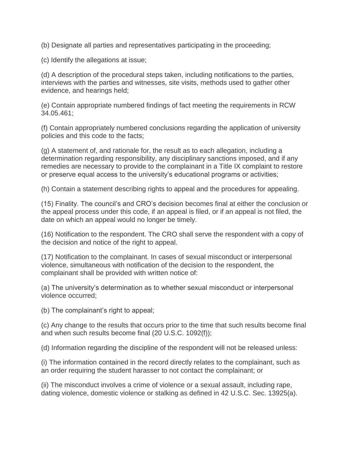(b) Designate all parties and representatives participating in the proceeding;

(c) Identify the allegations at issue;

(d) A description of the procedural steps taken, including notifications to the parties, interviews with the parties and witnesses, site visits, methods used to gather other evidence, and hearings held;

(e) Contain appropriate numbered findings of fact meeting the requirements in RCW 34.05.461;

(f) Contain appropriately numbered conclusions regarding the application of university policies and this code to the facts;

(g) A statement of, and rationale for, the result as to each allegation, including a determination regarding responsibility, any disciplinary sanctions imposed, and if any remedies are necessary to provide to the complainant in a Title IX complaint to restore or preserve equal access to the university's educational programs or activities;

(h) Contain a statement describing rights to appeal and the procedures for appealing.

(15) Finality. The council's and CRO's decision becomes final at either the conclusion or the appeal process under this code, if an appeal is filed, or if an appeal is not filed, the date on which an appeal would no longer be timely.

(16) Notification to the respondent. The CRO shall serve the respondent with a copy of the decision and notice of the right to appeal.

(17) Notification to the complainant. In cases of sexual misconduct or interpersonal violence, simultaneous with notification of the decision to the respondent, the complainant shall be provided with written notice of:

(a) The university's determination as to whether sexual misconduct or interpersonal violence occurred;

(b) The complainant's right to appeal;

(c) Any change to the results that occurs prior to the time that such results become final and when such results become final (20 U.S.C. 1092(f));

(d) Information regarding the discipline of the respondent will not be released unless:

(i) The information contained in the record directly relates to the complainant, such as an order requiring the student harasser to not contact the complainant; or

(ii) The misconduct involves a crime of violence or a sexual assault, including rape, dating violence, domestic violence or stalking as defined in 42 U.S.C. Sec. 13925(a).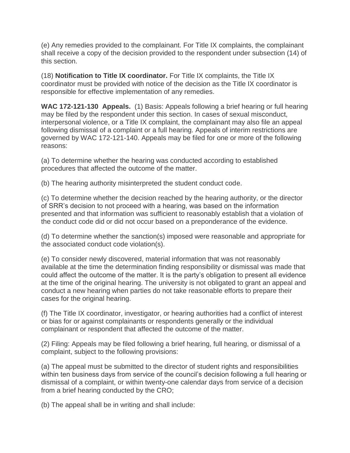(e) Any remedies provided to the complainant. For Title IX complaints, the complainant shall receive a copy of the decision provided to the respondent under subsection (14) of this section.

(18) **Notification to Title IX coordinator.** For Title IX complaints, the Title IX coordinator must be provided with notice of the decision as the Title IX coordinator is responsible for effective implementation of any remedies.

**WAC 172-121-130 Appeals.** (1) Basis: Appeals following a brief hearing or full hearing may be filed by the respondent under this section. In cases of sexual misconduct, interpersonal violence, or a Title IX complaint, the complainant may also file an appeal following dismissal of a complaint or a full hearing. Appeals of interim restrictions are governed by WAC 172-121-140. Appeals may be filed for one or more of the following reasons:

(a) To determine whether the hearing was conducted according to established procedures that affected the outcome of the matter.

(b) The hearing authority misinterpreted the student conduct code.

(c) To determine whether the decision reached by the hearing authority, or the director of SRR's decision to not proceed with a hearing, was based on the information presented and that information was sufficient to reasonably establish that a violation of the conduct code did or did not occur based on a preponderance of the evidence.

(d) To determine whether the sanction(s) imposed were reasonable and appropriate for the associated conduct code violation(s).

(e) To consider newly discovered, material information that was not reasonably available at the time the determination finding responsibility or dismissal was made that could affect the outcome of the matter. It is the party's obligation to present all evidence at the time of the original hearing. The university is not obligated to grant an appeal and conduct a new hearing when parties do not take reasonable efforts to prepare their cases for the original hearing.

(f) The Title IX coordinator, investigator, or hearing authorities had a conflict of interest or bias for or against complainants or respondents generally or the individual complainant or respondent that affected the outcome of the matter.

(2) Filing: Appeals may be filed following a brief hearing, full hearing, or dismissal of a complaint, subject to the following provisions:

(a) The appeal must be submitted to the director of student rights and responsibilities within ten business days from service of the council's decision following a full hearing or dismissal of a complaint, or within twenty-one calendar days from service of a decision from a brief hearing conducted by the CRO;

(b) The appeal shall be in writing and shall include: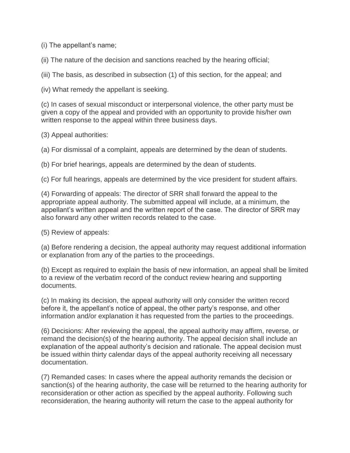(i) The appellant's name;

(ii) The nature of the decision and sanctions reached by the hearing official;

(iii) The basis, as described in subsection (1) of this section, for the appeal; and

(iv) What remedy the appellant is seeking.

(c) In cases of sexual misconduct or interpersonal violence, the other party must be given a copy of the appeal and provided with an opportunity to provide his/her own written response to the appeal within three business days.

(3) Appeal authorities:

(a) For dismissal of a complaint, appeals are determined by the dean of students.

(b) For brief hearings, appeals are determined by the dean of students.

(c) For full hearings, appeals are determined by the vice president for student affairs.

(4) Forwarding of appeals: The director of SRR shall forward the appeal to the appropriate appeal authority. The submitted appeal will include, at a minimum, the appellant's written appeal and the written report of the case. The director of SRR may also forward any other written records related to the case.

(5) Review of appeals:

(a) Before rendering a decision, the appeal authority may request additional information or explanation from any of the parties to the proceedings.

(b) Except as required to explain the basis of new information, an appeal shall be limited to a review of the verbatim record of the conduct review hearing and supporting documents.

(c) In making its decision, the appeal authority will only consider the written record before it, the appellant's notice of appeal, the other party's response, and other information and/or explanation it has requested from the parties to the proceedings.

(6) Decisions: After reviewing the appeal, the appeal authority may affirm, reverse, or remand the decision(s) of the hearing authority. The appeal decision shall include an explanation of the appeal authority's decision and rationale. The appeal decision must be issued within thirty calendar days of the appeal authority receiving all necessary documentation.

(7) Remanded cases: In cases where the appeal authority remands the decision or sanction(s) of the hearing authority, the case will be returned to the hearing authority for reconsideration or other action as specified by the appeal authority. Following such reconsideration, the hearing authority will return the case to the appeal authority for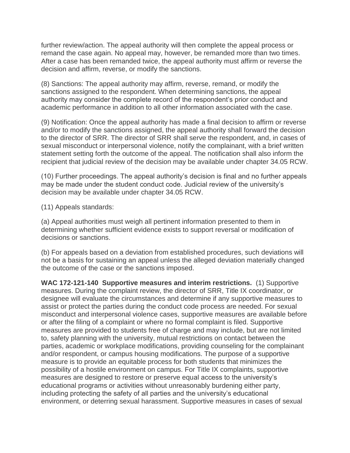further review/action. The appeal authority will then complete the appeal process or remand the case again. No appeal may, however, be remanded more than two times. After a case has been remanded twice, the appeal authority must affirm or reverse the decision and affirm, reverse, or modify the sanctions.

(8) Sanctions: The appeal authority may affirm, reverse, remand, or modify the sanctions assigned to the respondent. When determining sanctions, the appeal authority may consider the complete record of the respondent's prior conduct and academic performance in addition to all other information associated with the case.

(9) Notification: Once the appeal authority has made a final decision to affirm or reverse and/or to modify the sanctions assigned, the appeal authority shall forward the decision to the director of SRR. The director of SRR shall serve the respondent, and, in cases of sexual misconduct or interpersonal violence, notify the complainant, with a brief written statement setting forth the outcome of the appeal. The notification shall also inform the recipient that judicial review of the decision may be available under chapter 34.05 RCW.

(10) Further proceedings. The appeal authority's decision is final and no further appeals may be made under the student conduct code. Judicial review of the university's decision may be available under chapter 34.05 RCW.

(11) Appeals standards:

(a) Appeal authorities must weigh all pertinent information presented to them in determining whether sufficient evidence exists to support reversal or modification of decisions or sanctions.

(b) For appeals based on a deviation from established procedures, such deviations will not be a basis for sustaining an appeal unless the alleged deviation materially changed the outcome of the case or the sanctions imposed.

**WAC 172-121-140 Supportive measures and interim restrictions.** (1) Supportive measures. During the complaint review, the director of SRR, Title IX coordinator, or designee will evaluate the circumstances and determine if any supportive measures to assist or protect the parties during the conduct code process are needed. For sexual misconduct and interpersonal violence cases, supportive measures are available before or after the filing of a complaint or where no formal complaint is filed. Supportive measures are provided to students free of charge and may include, but are not limited to, safety planning with the university, mutual restrictions on contact between the parties, academic or workplace modifications, providing counseling for the complainant and/or respondent, or campus housing modifications. The purpose of a supportive measure is to provide an equitable process for both students that minimizes the possibility of a hostile environment on campus. For Title IX complaints, supportive measures are designed to restore or preserve equal access to the university's educational programs or activities without unreasonably burdening either party, including protecting the safety of all parties and the university's educational environment, or deterring sexual harassment. Supportive measures in cases of sexual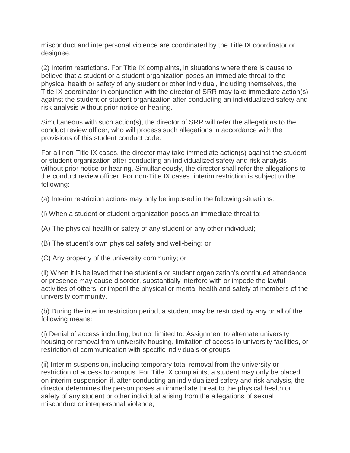misconduct and interpersonal violence are coordinated by the Title IX coordinator or designee.

(2) Interim restrictions. For Title IX complaints, in situations where there is cause to believe that a student or a student organization poses an immediate threat to the physical health or safety of any student or other individual, including themselves, the Title IX coordinator in conjunction with the director of SRR may take immediate action(s) against the student or student organization after conducting an individualized safety and risk analysis without prior notice or hearing.

Simultaneous with such action(s), the director of SRR will refer the allegations to the conduct review officer, who will process such allegations in accordance with the provisions of this student conduct code.

For all non-Title IX cases, the director may take immediate action(s) against the student or student organization after conducting an individualized safety and risk analysis without prior notice or hearing. Simultaneously, the director shall refer the allegations to the conduct review officer. For non-Title IX cases, interim restriction is subject to the following:

(a) Interim restriction actions may only be imposed in the following situations:

- (i) When a student or student organization poses an immediate threat to:
- (A) The physical health or safety of any student or any other individual;
- (B) The student's own physical safety and well-being; or
- (C) Any property of the university community; or

(ii) When it is believed that the student's or student organization's continued attendance or presence may cause disorder, substantially interfere with or impede the lawful activities of others, or imperil the physical or mental health and safety of members of the university community.

(b) During the interim restriction period, a student may be restricted by any or all of the following means:

(i) Denial of access including, but not limited to: Assignment to alternate university housing or removal from university housing, limitation of access to university facilities, or restriction of communication with specific individuals or groups:

(ii) Interim suspension, including temporary total removal from the university or restriction of access to campus. For Title IX complaints, a student may only be placed on interim suspension if, after conducting an individualized safety and risk analysis, the director determines the person poses an immediate threat to the physical health or safety of any student or other individual arising from the allegations of sexual misconduct or interpersonal violence;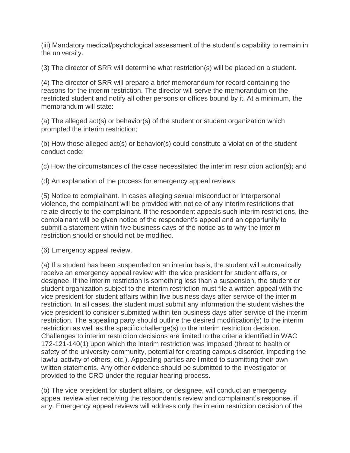(iii) Mandatory medical/psychological assessment of the student's capability to remain in the university.

(3) The director of SRR will determine what restriction(s) will be placed on a student.

(4) The director of SRR will prepare a brief memorandum for record containing the reasons for the interim restriction. The director will serve the memorandum on the restricted student and notify all other persons or offices bound by it. At a minimum, the memorandum will state:

(a) The alleged act(s) or behavior(s) of the student or student organization which prompted the interim restriction;

(b) How those alleged act(s) or behavior(s) could constitute a violation of the student conduct code;

(c) How the circumstances of the case necessitated the interim restriction action(s); and

(d) An explanation of the process for emergency appeal reviews.

(5) Notice to complainant. In cases alleging sexual misconduct or interpersonal violence, the complainant will be provided with notice of any interim restrictions that relate directly to the complainant. If the respondent appeals such interim restrictions, the complainant will be given notice of the respondent's appeal and an opportunity to submit a statement within five business days of the notice as to why the interim restriction should or should not be modified.

(6) Emergency appeal review.

(a) If a student has been suspended on an interim basis, the student will automatically receive an emergency appeal review with the vice president for student affairs, or designee. If the interim restriction is something less than a suspension, the student or student organization subject to the interim restriction must file a written appeal with the vice president for student affairs within five business days after service of the interim restriction. In all cases, the student must submit any information the student wishes the vice president to consider submitted within ten business days after service of the interim restriction. The appealing party should outline the desired modification(s) to the interim restriction as well as the specific challenge(s) to the interim restriction decision. Challenges to interim restriction decisions are limited to the criteria identified in WAC 172-121-140(1) upon which the interim restriction was imposed (threat to health or safety of the university community, potential for creating campus disorder, impeding the lawful activity of others, etc.). Appealing parties are limited to submitting their own written statements. Any other evidence should be submitted to the investigator or provided to the CRO under the regular hearing process.

(b) The vice president for student affairs, or designee, will conduct an emergency appeal review after receiving the respondent's review and complainant's response, if any. Emergency appeal reviews will address only the interim restriction decision of the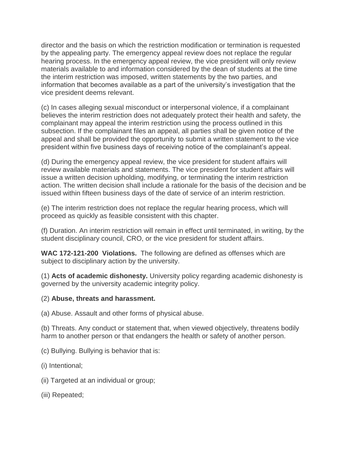director and the basis on which the restriction modification or termination is requested by the appealing party. The emergency appeal review does not replace the regular hearing process. In the emergency appeal review, the vice president will only review materials available to and information considered by the dean of students at the time the interim restriction was imposed, written statements by the two parties, and information that becomes available as a part of the university's investigation that the vice president deems relevant.

(c) In cases alleging sexual misconduct or interpersonal violence, if a complainant believes the interim restriction does not adequately protect their health and safety, the complainant may appeal the interim restriction using the process outlined in this subsection. If the complainant files an appeal, all parties shall be given notice of the appeal and shall be provided the opportunity to submit a written statement to the vice president within five business days of receiving notice of the complainant's appeal.

(d) During the emergency appeal review, the vice president for student affairs will review available materials and statements. The vice president for student affairs will issue a written decision upholding, modifying, or terminating the interim restriction action. The written decision shall include a rationale for the basis of the decision and be issued within fifteen business days of the date of service of an interim restriction.

(e) The interim restriction does not replace the regular hearing process, which will proceed as quickly as feasible consistent with this chapter.

(f) Duration. An interim restriction will remain in effect until terminated, in writing, by the student disciplinary council, CRO, or the vice president for student affairs.

**WAC 172-121-200 Violations.** The following are defined as offenses which are subject to disciplinary action by the university.

(1) **Acts of academic dishonesty.** University policy regarding academic dishonesty is governed by the university academic integrity policy.

#### (2) **Abuse, threats and harassment.**

(a) Abuse. Assault and other forms of physical abuse.

(b) Threats. Any conduct or statement that, when viewed objectively, threatens bodily harm to another person or that endangers the health or safety of another person.

- (c) Bullying. Bullying is behavior that is:
- (i) Intentional;
- (ii) Targeted at an individual or group;
- (iii) Repeated;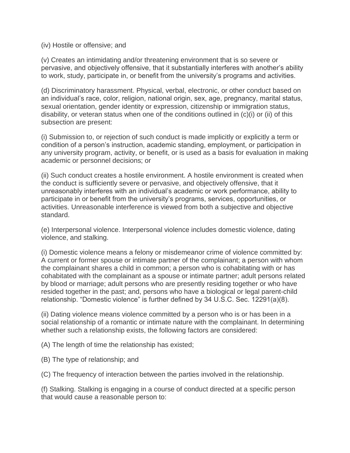(iv) Hostile or offensive; and

(v) Creates an intimidating and/or threatening environment that is so severe or pervasive, and objectively offensive, that it substantially interferes with another's ability to work, study, participate in, or benefit from the university's programs and activities.

(d) Discriminatory harassment. Physical, verbal, electronic, or other conduct based on an individual's race, color, religion, national origin, sex, age, pregnancy, marital status, sexual orientation, gender identity or expression, citizenship or immigration status, disability, or veteran status when one of the conditions outlined in (c)(i) or (ii) of this subsection are present:

(i) Submission to, or rejection of such conduct is made implicitly or explicitly a term or condition of a person's instruction, academic standing, employment, or participation in any university program, activity, or benefit, or is used as a basis for evaluation in making academic or personnel decisions; or

(ii) Such conduct creates a hostile environment. A hostile environment is created when the conduct is sufficiently severe or pervasive, and objectively offensive, that it unreasonably interferes with an individual's academic or work performance, ability to participate in or benefit from the university's programs, services, opportunities, or activities. Unreasonable interference is viewed from both a subjective and objective standard.

(e) Interpersonal violence. Interpersonal violence includes domestic violence, dating violence, and stalking.

(i) Domestic violence means a felony or misdemeanor crime of violence committed by: A current or former spouse or intimate partner of the complainant; a person with whom the complainant shares a child in common; a person who is cohabitating with or has cohabitated with the complainant as a spouse or intimate partner; adult persons related by blood or marriage; adult persons who are presently residing together or who have resided together in the past; and, persons who have a biological or legal parent-child relationship. "Domestic violence" is further defined by 34 U.S.C. Sec. 12291(a)(8).

(ii) Dating violence means violence committed by a person who is or has been in a social relationship of a romantic or intimate nature with the complainant. In determining whether such a relationship exists, the following factors are considered:

(A) The length of time the relationship has existed;

(B) The type of relationship; and

(C) The frequency of interaction between the parties involved in the relationship.

(f) Stalking. Stalking is engaging in a course of conduct directed at a specific person that would cause a reasonable person to: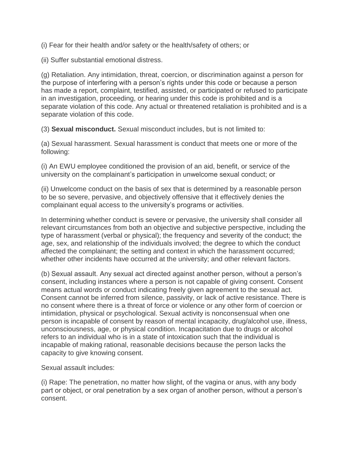(i) Fear for their health and/or safety or the health/safety of others; or

(ii) Suffer substantial emotional distress.

(g) Retaliation. Any intimidation, threat, coercion, or discrimination against a person for the purpose of interfering with a person's rights under this code or because a person has made a report, complaint, testified, assisted, or participated or refused to participate in an investigation, proceeding, or hearing under this code is prohibited and is a separate violation of this code. Any actual or threatened retaliation is prohibited and is a separate violation of this code.

(3) **Sexual misconduct.** Sexual misconduct includes, but is not limited to:

(a) Sexual harassment. Sexual harassment is conduct that meets one or more of the following:

(i) An EWU employee conditioned the provision of an aid, benefit, or service of the university on the complainant's participation in unwelcome sexual conduct; or

(ii) Unwelcome conduct on the basis of sex that is determined by a reasonable person to be so severe, pervasive, and objectively offensive that it effectively denies the complainant equal access to the university's programs or activities.

In determining whether conduct is severe or pervasive, the university shall consider all relevant circumstances from both an objective and subjective perspective, including the type of harassment (verbal or physical); the frequency and severity of the conduct; the age, sex, and relationship of the individuals involved; the degree to which the conduct affected the complainant; the setting and context in which the harassment occurred; whether other incidents have occurred at the university; and other relevant factors.

(b) Sexual assault. Any sexual act directed against another person, without a person's consent, including instances where a person is not capable of giving consent. Consent means actual words or conduct indicating freely given agreement to the sexual act. Consent cannot be inferred from silence, passivity, or lack of active resistance. There is no consent where there is a threat of force or violence or any other form of coercion or intimidation, physical or psychological. Sexual activity is nonconsensual when one person is incapable of consent by reason of mental incapacity, drug/alcohol use, illness, unconsciousness, age, or physical condition. Incapacitation due to drugs or alcohol refers to an individual who is in a state of intoxication such that the individual is incapable of making rational, reasonable decisions because the person lacks the capacity to give knowing consent.

Sexual assault includes:

(i) Rape: The penetration, no matter how slight, of the vagina or anus, with any body part or object, or oral penetration by a sex organ of another person, without a person's consent.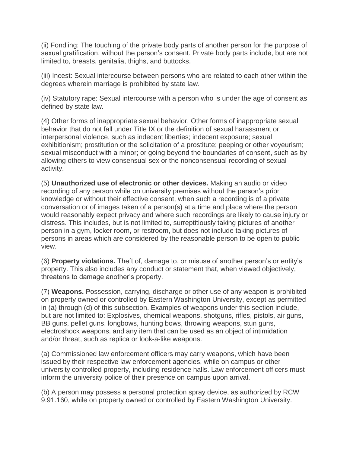(ii) Fondling: The touching of the private body parts of another person for the purpose of sexual gratification, without the person's consent. Private body parts include, but are not limited to, breasts, genitalia, thighs, and buttocks.

(iii) Incest: Sexual intercourse between persons who are related to each other within the degrees wherein marriage is prohibited by state law.

(iv) Statutory rape: Sexual intercourse with a person who is under the age of consent as defined by state law.

(4) Other forms of inappropriate sexual behavior. Other forms of inappropriate sexual behavior that do not fall under Title IX or the definition of sexual harassment or interpersonal violence, such as indecent liberties; indecent exposure; sexual exhibitionism; prostitution or the solicitation of a prostitute; peeping or other voyeurism; sexual misconduct with a minor; or going beyond the boundaries of consent, such as by allowing others to view consensual sex or the nonconsensual recording of sexual activity.

(5) **Unauthorized use of electronic or other devices.** Making an audio or video recording of any person while on university premises without the person's prior knowledge or without their effective consent, when such a recording is of a private conversation or of images taken of a person(s) at a time and place where the person would reasonably expect privacy and where such recordings are likely to cause injury or distress. This includes, but is not limited to, surreptitiously taking pictures of another person in a gym, locker room, or restroom, but does not include taking pictures of persons in areas which are considered by the reasonable person to be open to public view.

(6) **Property violations.** Theft of, damage to, or misuse of another person's or entity's property. This also includes any conduct or statement that, when viewed objectively, threatens to damage another's property.

(7) **Weapons.** Possession, carrying, discharge or other use of any weapon is prohibited on property owned or controlled by Eastern Washington University, except as permitted in (a) through (d) of this subsection. Examples of weapons under this section include, but are not limited to: Explosives, chemical weapons, shotguns, rifles, pistols, air guns, BB guns, pellet guns, longbows, hunting bows, throwing weapons, stun guns, electroshock weapons, and any item that can be used as an object of intimidation and/or threat, such as replica or look-a-like weapons.

(a) Commissioned law enforcement officers may carry weapons, which have been issued by their respective law enforcement agencies, while on campus or other university controlled property, including residence halls. Law enforcement officers must inform the university police of their presence on campus upon arrival.

(b) A person may possess a personal protection spray device, as authorized by RCW 9.91.160, while on property owned or controlled by Eastern Washington University.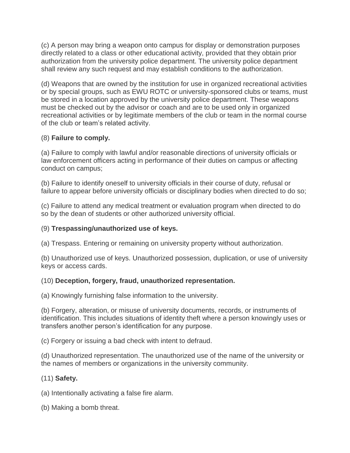(c) A person may bring a weapon onto campus for display or demonstration purposes directly related to a class or other educational activity, provided that they obtain prior authorization from the university police department. The university police department shall review any such request and may establish conditions to the authorization.

(d) Weapons that are owned by the institution for use in organized recreational activities or by special groups, such as EWU ROTC or university-sponsored clubs or teams, must be stored in a location approved by the university police department. These weapons must be checked out by the advisor or coach and are to be used only in organized recreational activities or by legitimate members of the club or team in the normal course of the club or team's related activity.

# (8) **Failure to comply.**

(a) Failure to comply with lawful and/or reasonable directions of university officials or law enforcement officers acting in performance of their duties on campus or affecting conduct on campus;

(b) Failure to identify oneself to university officials in their course of duty, refusal or failure to appear before university officials or disciplinary bodies when directed to do so;

(c) Failure to attend any medical treatment or evaluation program when directed to do so by the dean of students or other authorized university official.

### (9) **Trespassing/unauthorized use of keys.**

(a) Trespass. Entering or remaining on university property without authorization.

(b) Unauthorized use of keys. Unauthorized possession, duplication, or use of university keys or access cards.

# (10) **Deception, forgery, fraud, unauthorized representation.**

(a) Knowingly furnishing false information to the university.

(b) Forgery, alteration, or misuse of university documents, records, or instruments of identification. This includes situations of identity theft where a person knowingly uses or transfers another person's identification for any purpose.

(c) Forgery or issuing a bad check with intent to defraud.

(d) Unauthorized representation. The unauthorized use of the name of the university or the names of members or organizations in the university community.

# (11) **Safety.**

(a) Intentionally activating a false fire alarm.

(b) Making a bomb threat.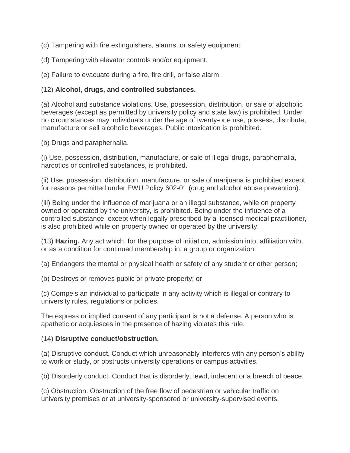(c) Tampering with fire extinguishers, alarms, or safety equipment.

(d) Tampering with elevator controls and/or equipment.

(e) Failure to evacuate during a fire, fire drill, or false alarm.

### (12) **Alcohol, drugs, and controlled substances.**

(a) Alcohol and substance violations. Use, possession, distribution, or sale of alcoholic beverages (except as permitted by university policy and state law) is prohibited. Under no circumstances may individuals under the age of twenty-one use, possess, distribute, manufacture or sell alcoholic beverages. Public intoxication is prohibited.

(b) Drugs and paraphernalia.

(i) Use, possession, distribution, manufacture, or sale of illegal drugs, paraphernalia, narcotics or controlled substances, is prohibited.

(ii) Use, possession, distribution, manufacture, or sale of marijuana is prohibited except for reasons permitted under EWU Policy 602-01 (drug and alcohol abuse prevention).

(iii) Being under the influence of marijuana or an illegal substance, while on property owned or operated by the university, is prohibited. Being under the influence of a controlled substance, except when legally prescribed by a licensed medical practitioner, is also prohibited while on property owned or operated by the university.

(13) **Hazing.** Any act which, for the purpose of initiation, admission into, affiliation with, or as a condition for continued membership in, a group or organization:

(a) Endangers the mental or physical health or safety of any student or other person;

(b) Destroys or removes public or private property; or

(c) Compels an individual to participate in any activity which is illegal or contrary to university rules, regulations or policies.

The express or implied consent of any participant is not a defense. A person who is apathetic or acquiesces in the presence of hazing violates this rule.

#### (14) **Disruptive conduct/obstruction.**

(a) Disruptive conduct. Conduct which unreasonably interferes with any person's ability to work or study, or obstructs university operations or campus activities.

(b) Disorderly conduct. Conduct that is disorderly, lewd, indecent or a breach of peace.

(c) Obstruction. Obstruction of the free flow of pedestrian or vehicular traffic on university premises or at university-sponsored or university-supervised events.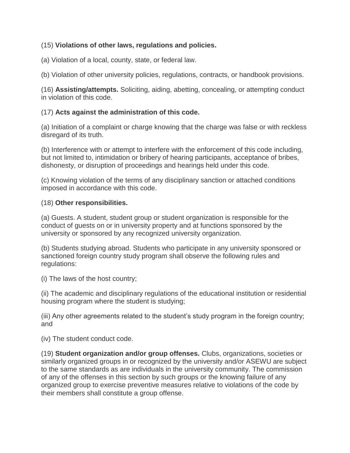# (15) **Violations of other laws, regulations and policies.**

(a) Violation of a local, county, state, or federal law.

(b) Violation of other university policies, regulations, contracts, or handbook provisions.

(16) **Assisting/attempts.** Soliciting, aiding, abetting, concealing, or attempting conduct in violation of this code.

### (17) **Acts against the administration of this code.**

(a) Initiation of a complaint or charge knowing that the charge was false or with reckless disregard of its truth.

(b) Interference with or attempt to interfere with the enforcement of this code including, but not limited to, intimidation or bribery of hearing participants, acceptance of bribes, dishonesty, or disruption of proceedings and hearings held under this code.

(c) Knowing violation of the terms of any disciplinary sanction or attached conditions imposed in accordance with this code.

#### (18) **Other responsibilities.**

(a) Guests. A student, student group or student organization is responsible for the conduct of guests on or in university property and at functions sponsored by the university or sponsored by any recognized university organization.

(b) Students studying abroad. Students who participate in any university sponsored or sanctioned foreign country study program shall observe the following rules and regulations:

(i) The laws of the host country;

(ii) The academic and disciplinary regulations of the educational institution or residential housing program where the student is studying;

(iii) Any other agreements related to the student's study program in the foreign country; and

(iv) The student conduct code.

(19) **Student organization and/or group offenses.** Clubs, organizations, societies or similarly organized groups in or recognized by the university and/or ASEWU are subject to the same standards as are individuals in the university community. The commission of any of the offenses in this section by such groups or the knowing failure of any organized group to exercise preventive measures relative to violations of the code by their members shall constitute a group offense.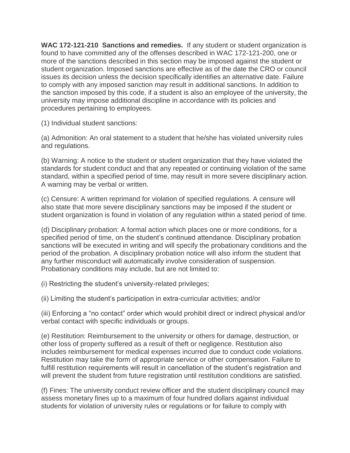**WAC 172-121-210 Sanctions and remedies.** If any student or student organization is found to have committed any of the offenses described in WAC 172-121-200, one or more of the sanctions described in this section may be imposed against the student or student organization. Imposed sanctions are effective as of the date the CRO or council issues its decision unless the decision specifically identifies an alternative date. Failure to comply with any imposed sanction may result in additional sanctions. In addition to the sanction imposed by this code, if a student is also an employee of the university, the university may impose additional discipline in accordance with its policies and procedures pertaining to employees.

(1) Individual student sanctions:

(a) Admonition: An oral statement to a student that he/she has violated university rules and regulations.

(b) Warning: A notice to the student or student organization that they have violated the standards for student conduct and that any repeated or continuing violation of the same standard, within a specified period of time, may result in more severe disciplinary action. A warning may be verbal or written.

(c) Censure: A written reprimand for violation of specified regulations. A censure will also state that more severe disciplinary sanctions may be imposed if the student or student organization is found in violation of any regulation within a stated period of time.

(d) Disciplinary probation: A formal action which places one or more conditions, for a specified period of time, on the student's continued attendance. Disciplinary probation sanctions will be executed in writing and will specify the probationary conditions and the period of the probation. A disciplinary probation notice will also inform the student that any further misconduct will automatically involve consideration of suspension. Probationary conditions may include, but are not limited to:

(i) Restricting the student's university-related privileges;

(ii) Limiting the student's participation in extra-curricular activities; and/or

(iii) Enforcing a "no contact" order which would prohibit direct or indirect physical and/or verbal contact with specific individuals or groups.

(e) Restitution: Reimbursement to the university or others for damage, destruction, or other loss of property suffered as a result of theft or negligence. Restitution also includes reimbursement for medical expenses incurred due to conduct code violations. Restitution may take the form of appropriate service or other compensation. Failure to fulfill restitution requirements will result in cancellation of the student's registration and will prevent the student from future registration until restitution conditions are satisfied.

(f) Fines: The university conduct review officer and the student disciplinary council may assess monetary fines up to a maximum of four hundred dollars against individual students for violation of university rules or regulations or for failure to comply with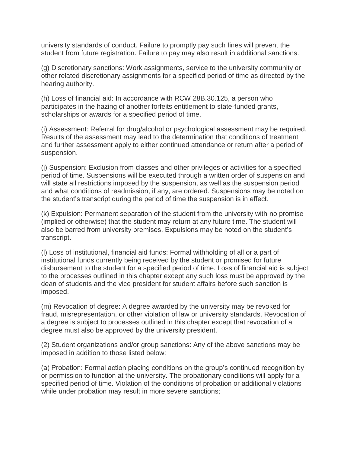university standards of conduct. Failure to promptly pay such fines will prevent the student from future registration. Failure to pay may also result in additional sanctions.

(g) Discretionary sanctions: Work assignments, service to the university community or other related discretionary assignments for a specified period of time as directed by the hearing authority.

(h) Loss of financial aid: In accordance with RCW 28B.30.125, a person who participates in the hazing of another forfeits entitlement to state-funded grants, scholarships or awards for a specified period of time.

(i) Assessment: Referral for drug/alcohol or psychological assessment may be required. Results of the assessment may lead to the determination that conditions of treatment and further assessment apply to either continued attendance or return after a period of suspension.

(j) Suspension: Exclusion from classes and other privileges or activities for a specified period of time. Suspensions will be executed through a written order of suspension and will state all restrictions imposed by the suspension, as well as the suspension period and what conditions of readmission, if any, are ordered. Suspensions may be noted on the student's transcript during the period of time the suspension is in effect.

(k) Expulsion: Permanent separation of the student from the university with no promise (implied or otherwise) that the student may return at any future time. The student will also be barred from university premises. Expulsions may be noted on the student's transcript.

(l) Loss of institutional, financial aid funds: Formal withholding of all or a part of institutional funds currently being received by the student or promised for future disbursement to the student for a specified period of time. Loss of financial aid is subject to the processes outlined in this chapter except any such loss must be approved by the dean of students and the vice president for student affairs before such sanction is imposed.

(m) Revocation of degree: A degree awarded by the university may be revoked for fraud, misrepresentation, or other violation of law or university standards. Revocation of a degree is subject to processes outlined in this chapter except that revocation of a degree must also be approved by the university president.

(2) Student organizations and/or group sanctions: Any of the above sanctions may be imposed in addition to those listed below:

(a) Probation: Formal action placing conditions on the group's continued recognition by or permission to function at the university. The probationary conditions will apply for a specified period of time. Violation of the conditions of probation or additional violations while under probation may result in more severe sanctions;